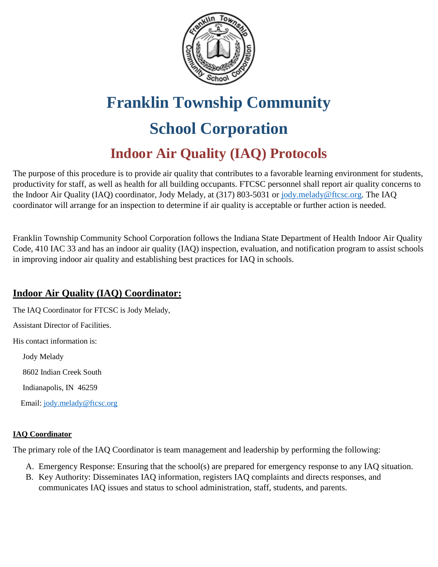

## **Franklin Township Community School Corporation Indoor Air Quality (IAQ) Protocols**

The purpose of this procedure is to provide air quality that contributes to a favorable learning environment for students, productivity for staff, as well as health for all building occupants. FTCSC personnel shall report air quality concerns to the Indoor Air Quality (IAQ) coordinator, Jody Melady, at (317) 803-5031 or [jody.melady@ftcsc.org.](mailto:jody.melady@ftcsc.org) The IAQ coordinator will arrange for an inspection to determine if air quality is acceptable or further action is needed.

Franklin Township Community School Corporation follows the Indiana State Department of Health Indoor Air Quality Code, 410 IAC 33 and has an indoor air quality (IAQ) inspection, evaluation, and notification program to assist schools in improving indoor air quality and establishing best practices for IAQ in schools.

#### **Indoor Air Quality (IAQ) Coordinator:**

The IAQ Coordinator for FTCSC is Jody Melady,

Assistant Director of Facilities.

His contact information is:

 Jody Melady 8602 Indian Creek South

Indianapolis, IN 46259

Email: [jody.melady@ftcsc.org](mailto:jody.melady@ftcsc.org)

#### **IAQ Coordinator**

The primary role of the IAQ Coordinator is team management and leadership by performing the following:

- A. Emergency Response: Ensuring that the school(s) are prepared for emergency response to any IAQ situation.
- B. Key Authority: Disseminates IAQ information, registers IAQ complaints and directs responses, and communicates IAQ issues and status to school administration, staff, students, and parents.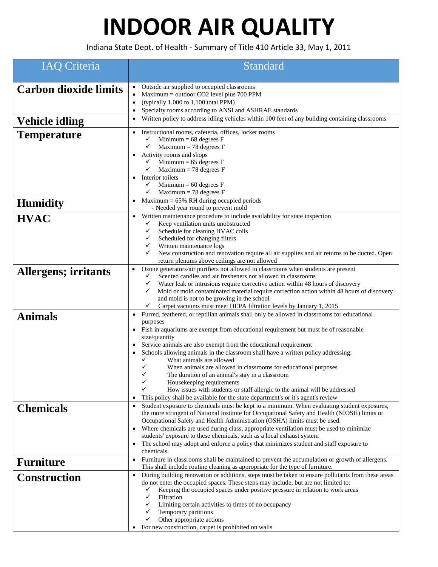# **INDOOR AIR QUALITY**

Indiana State Dept. of Health ‐ Summary of Title 410 Article 33, May 1, 2011

| <b>IAQ Criteria</b>          | Standard                                                                                                                                                                                                                                                                                                                                                                                                                                                                                                                                                                                                                                                                                                                                                                                  |
|------------------------------|-------------------------------------------------------------------------------------------------------------------------------------------------------------------------------------------------------------------------------------------------------------------------------------------------------------------------------------------------------------------------------------------------------------------------------------------------------------------------------------------------------------------------------------------------------------------------------------------------------------------------------------------------------------------------------------------------------------------------------------------------------------------------------------------|
| <b>Carbon dioxide limits</b> | Outside air supplied to occupied classrooms<br>$Maximum = outdoor CO2$ level plus 700 PPM<br>(typically $1,000$ to $1,100$ total PPM)<br>$\bullet$<br>Specialty rooms according to ANSI and ASHRAE standards<br>$\bullet$                                                                                                                                                                                                                                                                                                                                                                                                                                                                                                                                                                 |
| <b>Vehicle idling</b>        | Written policy to address idling vehicles within 100 feet of any building containing classrooms<br>$\bullet$                                                                                                                                                                                                                                                                                                                                                                                                                                                                                                                                                                                                                                                                              |
| <b>Temperature</b>           | Instructional rooms, cafeteria, offices, locker rooms<br>$\bullet$<br>Minimum = $68$ degrees $F$<br>✓<br>✓<br>Maximum = 78 degrees $F$<br>Activity rooms and shops<br>$\bullet$<br>Minimum = $65$ degrees $F$<br>✓<br>Maximum = 78 degrees $F$<br>✓<br>Interior toilets<br>$\bullet$<br>$\checkmark$<br>Minimum = $60$ degrees $F$<br>Maximum = 78 degrees $F$<br>✓                                                                                                                                                                                                                                                                                                                                                                                                                       |
| <b>Humidity</b>              | Maximum $= 65\%$ RH during occupied periods<br>- Needed year round to prevent mold                                                                                                                                                                                                                                                                                                                                                                                                                                                                                                                                                                                                                                                                                                        |
| <b>HVAC</b>                  | Written maintenance procedure to include availability for state inspection<br>$\bullet$<br>Keep ventilation units unobstructed<br>✓<br>Schedule for cleaning HVAC coils<br>✓<br>Scheduled for changing filters<br>✓<br>Written maintenance logs<br>✓<br>New construction and renovation require all air supplies and air returns to be ducted. Open<br>✓<br>return plenums above ceilings are not allowed                                                                                                                                                                                                                                                                                                                                                                                 |
| <b>Allergens; irritants</b>  | Ozone generators/air purifiers not allowed in classrooms when students are present<br>$\bullet$<br>Scented candles and air fresheners not allowed in classrooms<br>✓<br>✓<br>Water leak or intrusions require corrective action within 48 hours of discovery<br>Mold or mold contaminated material require correction action within 48 hours of discovery<br>✓<br>and mold is not to be growing in the school<br>Carpet vacuums must meet HEPA filtration levels by January 1, 2015                                                                                                                                                                                                                                                                                                       |
| <b>Animals</b>               | Furred, feathered, or reptilian animals shall only be allowed in classrooms for educational<br>$\bullet$<br>purposes<br>Fish in aquariums are exempt from educational requirement but must be of reasonable<br>$\bullet$<br>size/quantity<br>Service animals are also exempt from the educational requirement<br>Schools allowing animals in the classroom shall have a written policy addressing:<br>٠<br>What animals are allowed<br>✓<br>✓<br>When animals are allowed in classrooms for educational purposes<br>✓<br>The duration of an animal's stay in a classroom<br>✓<br>Housekeeping requirements<br>How issues with students or staff allergic to the animal will be addressed<br>This policy shall be available for the state department's or it's agent's review<br>$\bullet$ |
| <b>Chemicals</b>             | Student exposure to chemicals must be kept to a minimum. When evaluating student exposures,<br>$\bullet$<br>the more stringent of National Institute for Occupational Safety and Health (NIOSH) limits or<br>Occupational Safety and Health Administration (OSHA) limits must be used.<br>Where chemicals are used during class, appropriate ventilation must be used to minimize<br>$\bullet$<br>students' exposure to these chemicals, such as a local exhaust system<br>The school may adopt and enforce a policy that minimizes student and staff exposure to<br>$\bullet$<br>chemicals.                                                                                                                                                                                              |
| <b>Furniture</b>             | Furniture in classrooms shall be maintained to prevent the accumulation or growth of allergens.<br>$\bullet$<br>This shall include routine cleaning as appropriate for the type of furniture.                                                                                                                                                                                                                                                                                                                                                                                                                                                                                                                                                                                             |
| <b>Construction</b>          | During building renovation or additions, steps must be taken to ensure pollutants from these areas<br>$\bullet$<br>do not enter the occupied spaces. These steps may include, but are not limited to:<br>Keeping the occupied spaces under positive pressure in relation to work areas<br>✓<br>✓<br>Filtration<br>Limiting certain activities to times of no occupancy<br>✓<br>Temporary partitions<br>✓<br>Other appropriate actions<br>✓<br>For new construction, carpet is prohibited on walls                                                                                                                                                                                                                                                                                         |